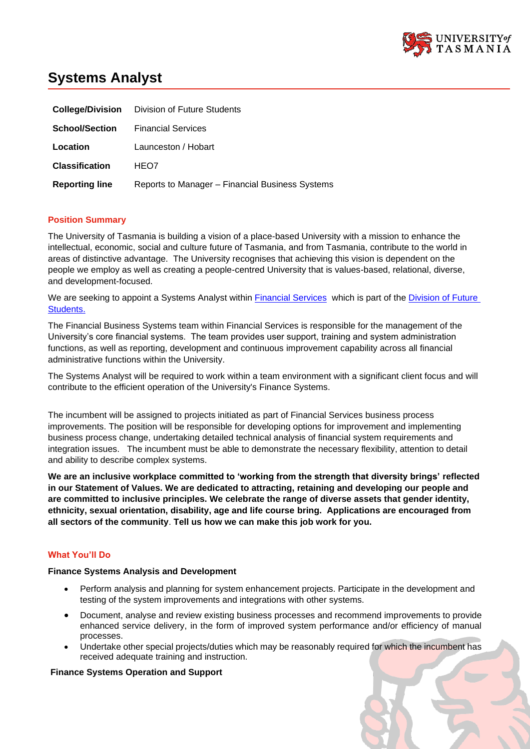

# **Systems Analyst**

|                       | <b>College/Division</b> Division of Future Students |
|-----------------------|-----------------------------------------------------|
| <b>School/Section</b> | <b>Financial Services</b>                           |
| Location              | Launceston / Hobart                                 |
| <b>Classification</b> | HEO7                                                |
| <b>Reporting line</b> | Reports to Manager - Financial Business Systems     |

## **Position Summary**

The University of Tasmania is building a vision of a place-based University with a mission to enhance the intellectual, economic, social and culture future of Tasmania, and from Tasmania, contribute to the world in areas of distinctive advantage. The University recognises that achieving this vision is dependent on the people we employ as well as creating a people-centred University that is values-based, relational, diverse, and development-focused.

We are seeking to appoint a Systems Analyst within [Financial Services](https://universitytasmania.sharepoint.com/sites/financial-services) which is part of the Division of Future [Students.](https://universitytasmania.sharepoint.com/sites/future-students)

The Financial Business Systems team within Financial Services is responsible for the management of the University's core financial systems. The team provides user support, training and system administration functions, as well as reporting, development and continuous improvement capability across all financial administrative functions within the University.

The Systems Analyst will be required to work within a team environment with a significant client focus and will contribute to the efficient operation of the University's Finance Systems.

The incumbent will be assigned to projects initiated as part of Financial Services business process improvements. The position will be responsible for developing options for improvement and implementing business process change, undertaking detailed technical analysis of financial system requirements and integration issues. The incumbent must be able to demonstrate the necessary flexibility, attention to detail and ability to describe complex systems.

**We are an inclusive workplace committed to 'working from the strength that diversity brings' reflected in our Statement of Values. We are dedicated to attracting, retaining and developing our people and are committed to inclusive principles. We celebrate the range of diverse assets that gender identity, ethnicity, sexual orientation, disability, age and life course bring. Applications are encouraged from all sectors of the community**. **Tell us how we can make this job work for you.**

# **What You'll Do**

### **Finance Systems Analysis and Development**

- Perform analysis and planning for system enhancement projects. Participate in the development and testing of the system improvements and integrations with other systems.
- Document, analyse and review existing business processes and recommend improvements to provide enhanced service delivery, in the form of improved system performance and/or efficiency of manual processes.
- Undertake other special projects/duties which may be reasonably required for which the incumbent has received adequate training and instruction.

#### **Finance Systems Operation and Support**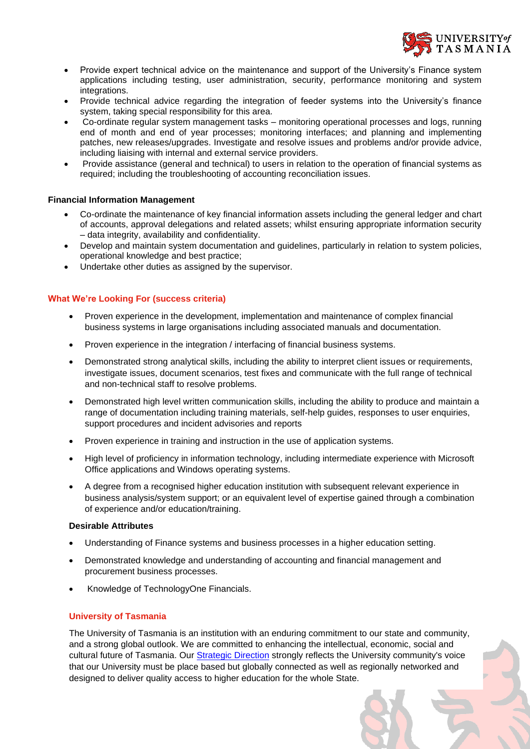

- Provide expert technical advice on the maintenance and support of the University's Finance system applications including testing, user administration, security, performance monitoring and system integrations.
- Provide technical advice regarding the integration of feeder systems into the University's finance system, taking special responsibility for this area.
- Co-ordinate regular system management tasks monitoring operational processes and logs, running end of month and end of year processes; monitoring interfaces; and planning and implementing patches, new releases/upgrades. Investigate and resolve issues and problems and/or provide advice, including liaising with internal and external service providers.
- Provide assistance (general and technical) to users in relation to the operation of financial systems as required; including the troubleshooting of accounting reconciliation issues.

## **Financial Information Management**

- Co-ordinate the maintenance of key financial information assets including the general ledger and chart of accounts, approval delegations and related assets; whilst ensuring appropriate information security – data integrity, availability and confidentiality.
- Develop and maintain system documentation and guidelines, particularly in relation to system policies, operational knowledge and best practice;
- Undertake other duties as assigned by the supervisor.

## **What We're Looking For (success criteria)**

- Proven experience in the development, implementation and maintenance of complex financial business systems in large organisations including associated manuals and documentation.
- Proven experience in the integration / interfacing of financial business systems.
- Demonstrated strong analytical skills, including the ability to interpret client issues or requirements, investigate issues, document scenarios, test fixes and communicate with the full range of technical and non-technical staff to resolve problems.
- Demonstrated high level written communication skills, including the ability to produce and maintain a range of documentation including training materials, self-help guides, responses to user enquiries, support procedures and incident advisories and reports
- Proven experience in training and instruction in the use of application systems.
- High level of proficiency in information technology, including intermediate experience with Microsoft Office applications and Windows operating systems.
- A degree from a recognised higher education institution with subsequent relevant experience in business analysis/system support; or an equivalent level of expertise gained through a combination of experience and/or education/training.

#### **Desirable Attributes**

- Understanding of Finance systems and business processes in a higher education setting.
- Demonstrated knowledge and understanding of accounting and financial management and procurement business processes.
- Knowledge of TechnologyOne Financials.

# **University of Tasmania**

The University of Tasmania is an institution with an enduring commitment to our state and community, and a strong global outlook. We are committed to enhancing the intellectual, economic, social and cultural future of Tasmania. Our [Strategic Direction](https://www.utas.edu.au/vc/strategic-direction) strongly reflects the University community's voice that our University must be place based but globally connected as well as regionally networked and designed to deliver quality access to higher education for the whole State.